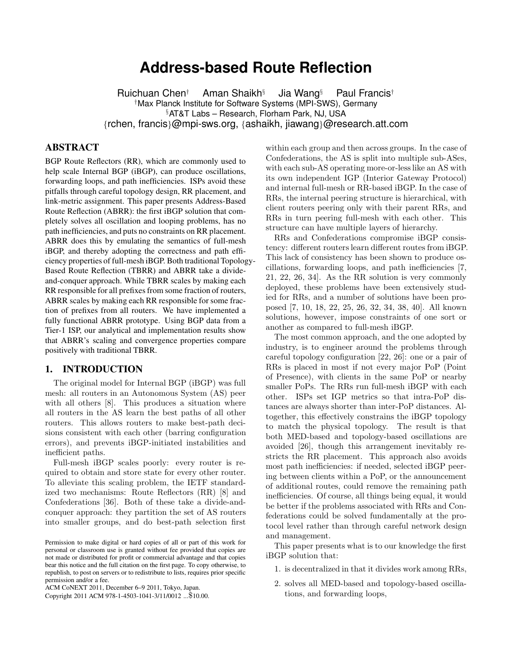# **Address-based Route Reflection**

Ruichuan Chen† Aman Shaikh§ Jia Wang§ Paul Francis† †Max Planck Institute for Software Systems (MPI-SWS), Germany §AT&T Labs – Research, Florham Park, NJ, USA {rchen, francis}@mpi-sws.org, {ashaikh, jiawang}@research.att.com

## **ABSTRACT**

BGP Route Reflectors (RR), which are commonly used to help scale Internal BGP (iBGP), can produce oscillations, forwarding loops, and path inefficiencies. ISPs avoid these pitfalls through careful topology design, RR placement, and link-metric assignment. This paper presents Address-Based Route Reflection (ABRR): the first iBGP solution that completely solves all oscillation and looping problems, has no path inefficiencies, and puts no constraints on RR placement. ABRR does this by emulating the semantics of full-mesh iBGP, and thereby adopting the correctness and path efficiency properties of full-mesh iBGP. Both traditional Topology-Based Route Reflection (TBRR) and ABRR take a divideand-conquer approach. While TBRR scales by making each RR responsible for all prefixes from some fraction of routers, ABRR scales by making each RR responsible for some fraction of prefixes from all routers. We have implemented a fully functional ABRR prototype. Using BGP data from a Tier-1 ISP, our analytical and implementation results show that ABRR's scaling and convergence properties compare positively with traditional TBRR.

### **1. INTRODUCTION**

The original model for Internal BGP (iBGP) was full mesh: all routers in an Autonomous System (AS) peer with all others [8]. This produces a situation where all routers in the AS learn the best paths of all other routers. This allows routers to make best-path decisions consistent with each other (barring configuration errors), and prevents iBGP-initiated instabilities and inefficient paths.

Full-mesh iBGP scales poorly: every router is required to obtain and store state for every other router. To alleviate this scaling problem, the IETF standardized two mechanisms: Route Reflectors (RR) [8] and Confederations [36]. Both of these take a divide-andconquer approach: they partition the set of AS routers into smaller groups, and do best-path selection first within each group and then across groups. In the case of Confederations, the AS is split into multiple sub-ASes, with each sub-AS operating more-or-less like an AS with its own independent IGP (Interior Gateway Protocol) and internal full-mesh or RR-based iBGP. In the case of RRs, the internal peering structure is hierarchical, with client routers peering only with their parent RRs, and RRs in turn peering full-mesh with each other. This structure can have multiple layers of hierarchy.

RRs and Confederations compromise iBGP consistency: different routers learn different routes from iBGP. This lack of consistency has been shown to produce oscillations, forwarding loops, and path inefficiencies [7, 21, 22, 26, 34]. As the RR solution is very commonly deployed, these problems have been extensively studied for RRs, and a number of solutions have been proposed [7, 10, 18, 22, 25, 26, 32, 34, 38, 40]. All known solutions, however, impose constraints of one sort or another as compared to full-mesh iBGP.

The most common approach, and the one adopted by industry, is to engineer around the problems through careful topology configuration [22, 26]: one or a pair of RRs is placed in most if not every major PoP (Point of Presence), with clients in the same PoP or nearby smaller PoPs. The RRs run full-mesh iBGP with each other. ISPs set IGP metrics so that intra-PoP distances are always shorter than inter-PoP distances. Altogether, this effectively constrains the iBGP topology to match the physical topology. The result is that both MED-based and topology-based oscillations are avoided [26], though this arrangement inevitably restricts the RR placement. This approach also avoids most path inefficiencies: if needed, selected iBGP peering between clients within a PoP, or the announcement of additional routes, could remove the remaining path inefficiencies. Of course, all things being equal, it would be better if the problems associated with RRs and Confederations could be solved fundamentally at the protocol level rather than through careful network design and management.

This paper presents what is to our knowledge the first iBGP solution that:

- 1. is decentralized in that it divides work among RRs,
- 2. solves all MED-based and topology-based oscillations, and forwarding loops,

Permission to make digital or hard copies of all or part of this work for personal or classroom use is granted without fee provided that copies are not made or distributed for profit or commercial advantage and that copies bear this notice and the full citation on the first page. To copy otherwise, to republish, to post on servers or to redistribute to lists, requires prior specific permission and/or a fee.

ACM CoNEXT 2011, December 6–9 2011, Tokyo, Japan.

Copyright 2011 ACM 978-1-4503-1041-3/11/0012 ...\$10.00.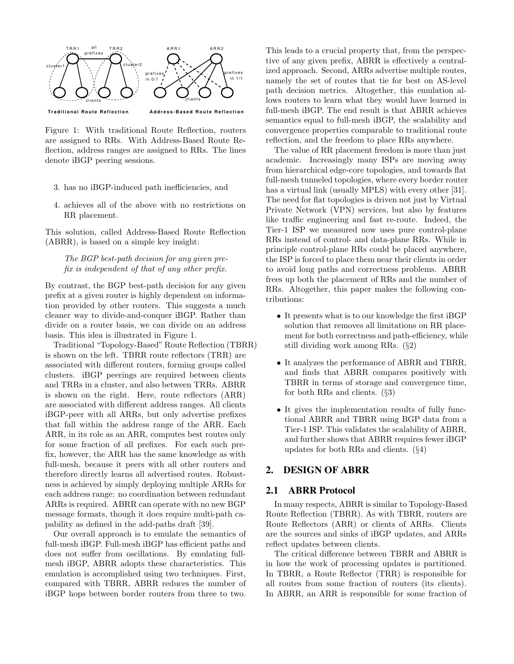

**Traditional Route Reflection Address-Based Route Reflection**

Figure 1: With traditional Route Reflection, routers are assigned to RRs. With Address-Based Route Reflection, address ranges are assigned to RRs. The lines denote iBGP peering sessions.

- 3. has no iBGP-induced path inefficiencies, and
- 4. achieves all of the above with no restrictions on RR placement.

This solution, called Address-Based Route Reflection (ABRR), is based on a simple key insight:

The BGP best-path decision for any given prefix is independent of that of any other prefix.

By contrast, the BGP best-path decision for any given prefix at a given router is highly dependent on information provided by other routers. This suggests a much cleaner way to divide-and-conquer iBGP. Rather than divide on a router basis, we can divide on an address basis. This idea is illustrated in Figure 1.

Traditional "Topology-Based" Route Reflection (TBRR) is shown on the left. TBRR route reflectors (TRR) are associated with different routers, forming groups called clusters. iBGP peerings are required between clients and TRRs in a cluster, and also between TRRs. ABRR is shown on the right. Here, route reflectors (ARR) are associated with different address ranges. All clients iBGP-peer with all ARRs, but only advertise prefixes that fall within the address range of the ARR. Each ARR, in its role as an ARR, computes best routes only for some fraction of all prefixes. For each such prefix, however, the ARR has the same knowledge as with full-mesh, because it peers with all other routers and therefore directly learns all advertised routes. Robustness is achieved by simply deploying multiple ARRs for each address range: no coordination between redundant ARRs is required. ABRR can operate with no new BGP message formats, though it does require multi-path capability as defined in the add-paths draft [39].

Our overall approach is to emulate the semantics of full-mesh iBGP. Full-mesh iBGP has efficient paths and does not suffer from oscillations. By emulating fullmesh iBGP, ABRR adopts these characteristics. This emulation is accomplished using two techniques. First, compared with TBRR, ABRR reduces the number of iBGP hops between border routers from three to two.

This leads to a crucial property that, from the perspective of any given prefix, ABRR is effectively a centralized approach. Second, ARRs advertise multiple routes, namely the set of routes that tie for best on AS-level path decision metrics. Altogether, this emulation allows routers to learn what they would have learned in full-mesh iBGP. The end result is that ABRR achieves semantics equal to full-mesh iBGP, the scalability and convergence properties comparable to traditional route reflection, and the freedom to place RRs anywhere.

The value of RR placement freedom is more than just academic. Increasingly many ISPs are moving away from hierarchical edge-core topologies, and towards flat full-mesh tunneled topologies, where every border router has a virtual link (usually MPLS) with every other [31]. The need for flat topologies is driven not just by Virtual Private Network (VPN) services, but also by features like traffic engineering and fast re-route. Indeed, the Tier-1 ISP we measured now uses pure control-plane RRs instead of control- and data-plane RRs. While in principle control-plane RRs could be placed anywhere, the ISP is forced to place them near their clients in order to avoid long paths and correctness problems. ABRR frees up both the placement of RRs and the number of RRs. Altogether, this paper makes the following contributions:

- It presents what is to our knowledge the first iBGP solution that removes all limitations on RR placement for both correctness and path-efficiency, while still dividing work among RRs. (§2)
- It analyzes the performance of ABRR and TBRR, and finds that ABRR compares positively with TBRR in terms of storage and convergence time, for both RRs and clients.  $(\S3)$
- It gives the implementation results of fully functional ABRR and TBRR using BGP data from a Tier-1 ISP. This validates the scalability of ABRR, and further shows that ABRR requires fewer iBGP updates for both RRs and clients. (§4)

## **2. DESIGN OF ABRR**

## **2.1 ABRR Protocol**

In many respects, ABRR is similar to Topology-Based Route Reflection (TBRR). As with TBRR, routers are Route Reflectors (ARR) or clients of ARRs. Clients are the sources and sinks of iBGP updates, and ARRs reflect updates between clients.

The critical difference between TBRR and ABRR is in how the work of processing updates is partitioned. In TBRR, a Route Reflector (TRR) is responsible for all routes from some fraction of routers (its clients). In ABRR, an ARR is responsible for some fraction of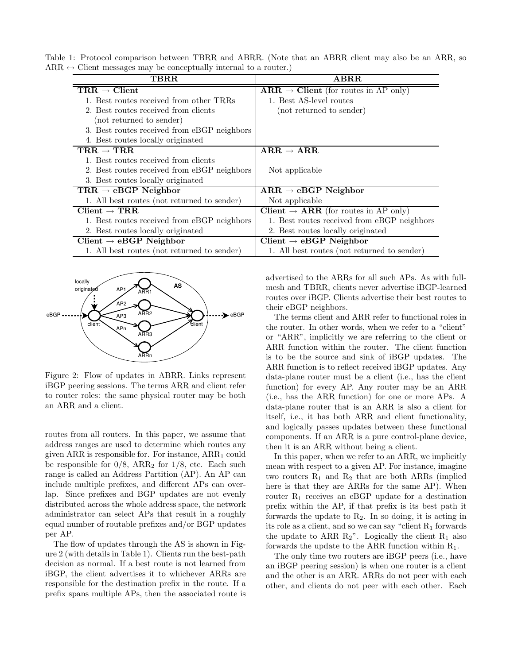| <b>TBRR</b>                                    | $\operatorname{ABRR}$                                              |
|------------------------------------------------|--------------------------------------------------------------------|
| $\text{TRR} \rightarrow \text{Client}$         | $\mathbf{ARR} \rightarrow \mathbf{Client}$ (for routes in AP only) |
| 1. Best routes received from other TRRs        | 1. Best AS-level routes                                            |
| 2. Best routes received from clients           | (not returned to sender)                                           |
| (not returned to sender)                       |                                                                    |
| 3. Best routes received from eBGP neighbors    |                                                                    |
| 4. Best routes locally originated              |                                                                    |
| $\text{TRR} \rightarrow \text{T\overline{RR}}$ | $ARR \rightarrow ARR$                                              |
| 1. Best routes received from clients           |                                                                    |
| 2. Best routes received from eBGP neighbors    | Not applicable                                                     |
| 3. Best routes locally originated              |                                                                    |
| $\text{TRR} \rightarrow \text{eBGP}$ Neighbor  | $ARR \rightarrow eBGP$ Neighbor                                    |
| 1. All best routes (not returned to sender)    | Not applicable                                                     |
| Client $\rightarrow$ TRR                       | Client $\rightarrow$ ARR (for routes in AP only)                   |
| 1. Best routes received from eBGP neighbors    | 1. Best routes received from eBGP neighbors                        |
| 2. Best routes locally originated              | 2. Best routes locally originated                                  |
| Client $\rightarrow$ eBGP Neighbor             | Client $\rightarrow$ eBGP Neighbor                                 |
| 1. All best routes (not returned to sender)    | 1. All best routes (not returned to sender)                        |

Table 1: Protocol comparison between TBRR and ABRR. (Note that an ABRR client may also be an ARR, so  $ARR \leftrightarrow Client$  messages may be conceptually internal to a router.)



Figure 2: Flow of updates in ABRR. Links represent iBGP peering sessions. The terms ARR and client refer to router roles: the same physical router may be both an ARR and a client.

routes from all routers. In this paper, we assume that address ranges are used to determine which routes any given ARR is responsible for. For instance,  $ARR<sub>1</sub>$  could be responsible for  $0/8$ , ARR<sub>2</sub> for  $1/8$ , etc. Each such range is called an Address Partition (AP). An AP can include multiple prefixes, and different APs can overlap. Since prefixes and BGP updates are not evenly distributed across the whole address space, the network administrator can select APs that result in a roughly equal number of routable prefixes and/or BGP updates per AP.

The flow of updates through the AS is shown in Figure 2 (with details in Table 1). Clients run the best-path decision as normal. If a best route is not learned from iBGP, the client advertises it to whichever ARRs are responsible for the destination prefix in the route. If a prefix spans multiple APs, then the associated route is

advertised to the ARRs for all such APs. As with fullmesh and TBRR, clients never advertise iBGP-learned routes over iBGP. Clients advertise their best routes to their eBGP neighbors.

The terms client and ARR refer to functional roles in the router. In other words, when we refer to a "client" or "ARR", implicitly we are referring to the client or ARR function within the router. The client function is to be the source and sink of iBGP updates. The ARR function is to reflect received iBGP updates. Any data-plane router must be a client (i.e., has the client function) for every AP. Any router may be an ARR (i.e., has the ARR function) for one or more APs. A data-plane router that is an ARR is also a client for itself, i.e., it has both ARR and client functionality, and logically passes updates between these functional components. If an ARR is a pure control-plane device, then it is an ARR without being a client.

In this paper, when we refer to an ARR, we implicitly mean with respect to a given AP. For instance, imagine two routers  $R_1$  and  $R_2$  that are both ARRs (implied here is that they are ARRs for the same AP). When router  $R_1$  receives an eBGP update for a destination prefix within the AP, if that prefix is its best path it forwards the update to  $R_2$ . In so doing, it is acting in its role as a client, and so we can say "client  $R_1$  forwards" the update to ARR  $R_2$ ". Logically the client  $R_1$  also forwards the update to the ARR function within  $R_1$ .

The only time two routers are iBGP peers (i.e., have an iBGP peering session) is when one router is a client and the other is an ARR. ARRs do not peer with each other, and clients do not peer with each other. Each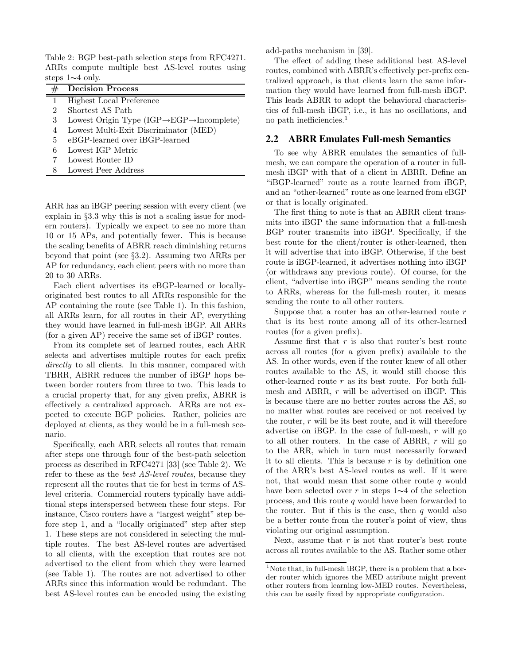Table 2: BGP best-path selection steps from RFC4271. ARRs compute multiple best AS-level routes using steps 1∼4 only.

|                | <b>Decision Process</b>                                           |
|----------------|-------------------------------------------------------------------|
|                | <b>Highest Local Preference</b>                                   |
| $\overline{2}$ | Shortest AS Path                                                  |
| 3              | Lowest Origin Type $(IGP \rightarrow EGP \rightarrow Incomplete)$ |
| 4              | Lowest Multi-Exit Discriminator (MED)                             |
| 5.             | eBGP-learned over iBGP-learned                                    |
| 6              | Lowest IGP Metric                                                 |
|                | Lowest Router ID                                                  |

Lowest Peer Address

ARR has an iBGP peering session with every client (we explain in §3.3 why this is not a scaling issue for modern routers). Typically we expect to see no more than 10 or 15 APs, and potentially fewer. This is because the scaling benefits of ABRR reach diminishing returns beyond that point (see §3.2). Assuming two ARRs per AP for redundancy, each client peers with no more than 20 to 30 ARRs.

Each client advertises its eBGP-learned or locallyoriginated best routes to all ARRs responsible for the AP containing the route (see Table 1). In this fashion, all ARRs learn, for all routes in their AP, everything they would have learned in full-mesh iBGP. All ARRs (for a given AP) receive the same set of iBGP routes.

From its complete set of learned routes, each ARR selects and advertises multiple routes for each prefix directly to all clients. In this manner, compared with TBRR, ABRR reduces the number of iBGP hops between border routers from three to two. This leads to a crucial property that, for any given prefix, ABRR is effectively a centralized approach. ARRs are not expected to execute BGP policies. Rather, policies are deployed at clients, as they would be in a full-mesh scenario.

Specifically, each ARR selects all routes that remain after steps one through four of the best-path selection process as described in RFC4271 [33] (see Table 2). We refer to these as the best AS-level routes, because they represent all the routes that tie for best in terms of ASlevel criteria. Commercial routers typically have additional steps interspersed between these four steps. For instance, Cisco routers have a "largest weight" step before step 1, and a "locally originated" step after step 1. These steps are not considered in selecting the multiple routes. The best AS-level routes are advertised to all clients, with the exception that routes are not advertised to the client from which they were learned (see Table 1). The routes are not advertised to other ARRs since this information would be redundant. The best AS-level routes can be encoded using the existing add-paths mechanism in [39].

The effect of adding these additional best AS-level routes, combined with ABRR's effectively per-prefix centralized approach, is that clients learn the same information they would have learned from full-mesh iBGP. This leads ABRR to adopt the behavioral characteristics of full-mesh iBGP, i.e., it has no oscillations, and no path inefficiencies. $1$ 

## **2.2 ABRR Emulates Full-mesh Semantics**

To see why ABRR emulates the semantics of fullmesh, we can compare the operation of a router in fullmesh iBGP with that of a client in ABRR. Define an "iBGP-learned" route as a route learned from iBGP, and an "other-learned" route as one learned from eBGP or that is locally originated.

The first thing to note is that an ABRR client transmits into iBGP the same information that a full-mesh BGP router transmits into iBGP. Specifically, if the best route for the client/router is other-learned, then it will advertise that into iBGP. Otherwise, if the best route is iBGP-learned, it advertises nothing into iBGP (or withdraws any previous route). Of course, for the client, "advertise into iBGP" means sending the route to ARRs, whereas for the full-mesh router, it means sending the route to all other routers.

Suppose that a router has an other-learned route r that is its best route among all of its other-learned routes (for a given prefix).

Assume first that  $r$  is also that router's best route across all routes (for a given prefix) available to the AS. In other words, even if the router knew of all other routes available to the AS, it would still choose this other-learned route  $r$  as its best route. For both fullmesh and ABRR, r will be advertised on iBGP. This is because there are no better routes across the AS, so no matter what routes are received or not received by the router,  $r$  will be its best route, and it will therefore advertise on iBGP. In the case of full-mesh, r will go to all other routers. In the case of ABRR, r will go to the ARR, which in turn must necessarily forward it to all clients. This is because  $r$  is by definition one of the ARR's best AS-level routes as well. If it were not, that would mean that some other route  $q$  would have been selected over r in steps  $1~1~1~$ of the selection process, and this route q would have been forwarded to the router. But if this is the case, then  $q$  would also be a better route from the router's point of view, thus violating our original assumption.

Next, assume that  $r$  is not that router's best route across all routes available to the AS. Rather some other

<sup>&</sup>lt;sup>1</sup>Note that, in full-mesh iBGP, there is a problem that a border router which ignores the MED attribute might prevent other routers from learning low-MED routes. Nevertheless, this can be easily fixed by appropriate configuration.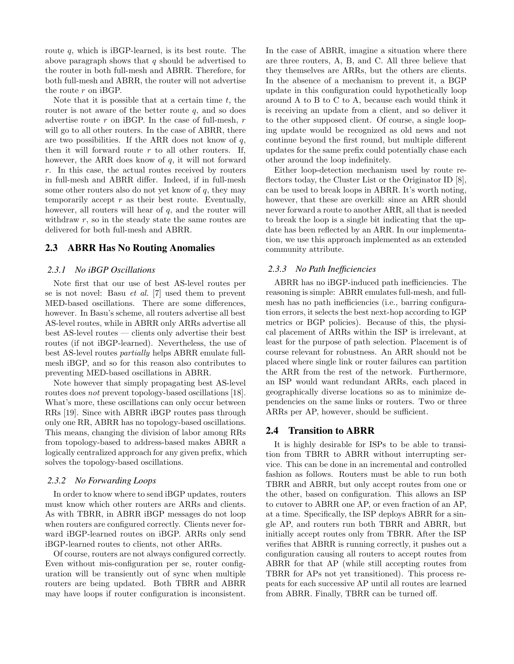route  $q$ , which is iBGP-learned, is its best route. The above paragraph shows that  $q$  should be advertised to the router in both full-mesh and ABRR. Therefore, for both full-mesh and ABRR, the router will not advertise the route r on iBGP.

Note that it is possible that at a certain time  $t$ , the router is not aware of the better route  $q$ , and so does advertise route  $r$  on iBGP. In the case of full-mesh,  $r$ will go to all other routers. In the case of ABRR, there are two possibilities. If the ARR does not know of  $q$ , then it will forward route  $r$  to all other routers. If, however, the ARR does know of  $q$ , it will not forward r. In this case, the actual routes received by routers in full-mesh and ABRR differ. Indeed, if in full-mesh some other routers also do not yet know of  $q$ , they may temporarily accept  $r$  as their best route. Eventually, however, all routers will hear of q, and the router will withdraw  $r$ , so in the steady state the same routes are delivered for both full-mesh and ABRR.

### **2.3 ABRR Has No Routing Anomalies**

#### *2.3.1 No iBGP Oscillations*

Note first that our use of best AS-level routes per se is not novel: Basu et al. [7] used them to prevent MED-based oscillations. There are some differences, however. In Basu's scheme, all routers advertise all best AS-level routes, while in ABRR only ARRs advertise all best AS-level routes — clients only advertise their best routes (if not iBGP-learned). Nevertheless, the use of best AS-level routes partially helps ABRR emulate fullmesh iBGP, and so for this reason also contributes to preventing MED-based oscillations in ABRR.

Note however that simply propagating best AS-level routes does *not* prevent topology-based oscillations [18]. What's more, these oscillations can only occur between RRs [19]. Since with ABRR iBGP routes pass through only one RR, ABRR has no topology-based oscillations. This means, changing the division of labor among RRs from topology-based to address-based makes ABRR a logically centralized approach for any given prefix, which solves the topology-based oscillations.

#### *2.3.2 No Forwarding Loops*

In order to know where to send iBGP updates, routers must know which other routers are ARRs and clients. As with TBRR, in ABRR iBGP messages do not loop when routers are configured correctly. Clients never forward iBGP-learned routes on iBGP. ARRs only send iBGP-learned routes to clients, not other ARRs.

Of course, routers are not always configured correctly. Even without mis-configuration per se, router configuration will be transiently out of sync when multiple routers are being updated. Both TBRR and ABRR may have loops if router configuration is inconsistent. In the case of ABRR, imagine a situation where there are three routers, A, B, and C. All three believe that they themselves are ARRs, but the others are clients. In the absence of a mechanism to prevent it, a BGP update in this configuration could hypothetically loop around A to B to C to A, because each would think it is receiving an update from a client, and so deliver it to the other supposed client. Of course, a single looping update would be recognized as old news and not continue beyond the first round, but multiple different updates for the same prefix could potentially chase each other around the loop indefinitely.

Either loop-detection mechanism used by route reflectors today, the Cluster List or the Originator ID [8], can be used to break loops in ABRR. It's worth noting, however, that these are overkill: since an ARR should never forward a route to another ARR, all that is needed to break the loop is a single bit indicating that the update has been reflected by an ARR. In our implementation, we use this approach implemented as an extended community attribute.

#### *2.3.3 No Path Inefficiencies*

ABRR has no iBGP-induced path inefficiencies. The reasoning is simple: ABRR emulates full-mesh, and fullmesh has no path inefficiencies (i.e., barring configuration errors, it selects the best next-hop according to IGP metrics or BGP policies). Because of this, the physical placement of ARRs within the ISP is irrelevant, at least for the purpose of path selection. Placement is of course relevant for robustness. An ARR should not be placed where single link or router failures can partition the ARR from the rest of the network. Furthermore, an ISP would want redundant ARRs, each placed in geographically diverse locations so as to minimize dependencies on the same links or routers. Two or three ARRs per AP, however, should be sufficient.

#### **2.4 Transition to ABRR**

It is highly desirable for ISPs to be able to transition from TBRR to ABRR without interrupting service. This can be done in an incremental and controlled fashion as follows. Routers must be able to run both TBRR and ABRR, but only accept routes from one or the other, based on configuration. This allows an ISP to cutover to ABRR one AP, or even fraction of an AP, at a time. Specifically, the ISP deploys ABRR for a single AP, and routers run both TBRR and ABRR, but initially accept routes only from TBRR. After the ISP verifies that ABRR is running correctly, it pushes out a configuration causing all routers to accept routes from ABRR for that AP (while still accepting routes from TBRR for APs not yet transitioned). This process repeats for each successive AP until all routes are learned from ABRR. Finally, TBRR can be turned off.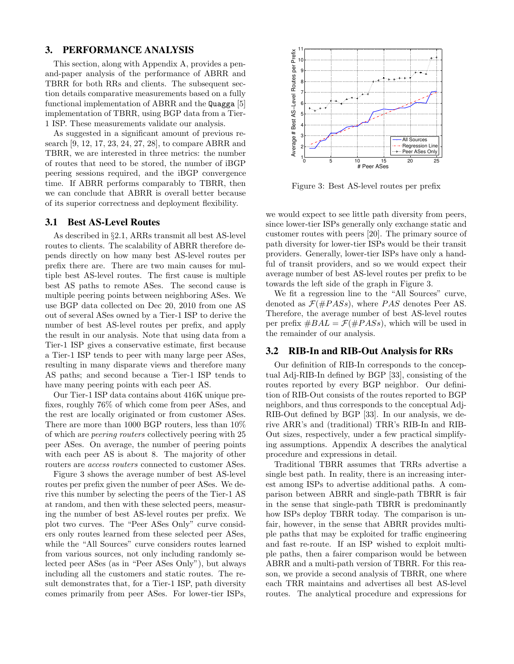### **3. PERFORMANCE ANALYSIS**

This section, along with Appendix A, provides a penand-paper analysis of the performance of ABRR and TBRR for both RRs and clients. The subsequent section details comparative measurements based on a fully functional implementation of ABRR and the Quagga [5] implementation of TBRR, using BGP data from a Tier-1 ISP. These measurements validate our analysis.

As suggested in a significant amount of previous research [9, 12, 17, 23, 24, 27, 28], to compare ABRR and TBRR, we are interested in three metrics: the number of routes that need to be stored, the number of iBGP peering sessions required, and the iBGP convergence time. If ABRR performs comparably to TBRR, then we can conclude that ABRR is overall better because of its superior correctness and deployment flexibility.

#### **3.1 Best AS-Level Routes**

As described in §2.1, ARRs transmit all best AS-level routes to clients. The scalability of ABRR therefore depends directly on how many best AS-level routes per prefix there are. There are two main causes for multiple best AS-level routes. The first cause is multiple best AS paths to remote ASes. The second cause is multiple peering points between neighboring ASes. We use BGP data collected on Dec 20, 2010 from one AS out of several ASes owned by a Tier-1 ISP to derive the number of best AS-level routes per prefix, and apply the result in our analysis. Note that using data from a Tier-1 ISP gives a conservative estimate, first because a Tier-1 ISP tends to peer with many large peer ASes, resulting in many disparate views and therefore many AS paths; and second because a Tier-1 ISP tends to have many peering points with each peer AS.

Our Tier-1 ISP data contains about 416K unique prefixes, roughly 76% of which come from peer ASes, and the rest are locally originated or from customer ASes. There are more than 1000 BGP routers, less than 10% of which are peering routers collectively peering with 25 peer ASes. On average, the number of peering points with each peer AS is about 8. The majority of other routers are access routers connected to customer ASes.

Figure 3 shows the average number of best AS-level routes per prefix given the number of peer ASes. We derive this number by selecting the peers of the Tier-1 AS at random, and then with these selected peers, measuring the number of best AS-level routes per prefix. We plot two curves. The "Peer ASes Only" curve considers only routes learned from these selected peer ASes, while the "All Sources" curve considers routes learned from various sources, not only including randomly selected peer ASes (as in "Peer ASes Only"), but always including all the customers and static routes. The result demonstrates that, for a Tier-1 ISP, path diversity comes primarily from peer ASes. For lower-tier ISPs,



Figure 3: Best AS-level routes per prefix

we would expect to see little path diversity from peers, since lower-tier ISPs generally only exchange static and customer routes with peers [20]. The primary source of path diversity for lower-tier ISPs would be their transit providers. Generally, lower-tier ISPs have only a handful of transit providers, and so we would expect their average number of best AS-level routes per prefix to be towards the left side of the graph in Figure 3.

We fit a regression line to the "All Sources" curve, denoted as  $\mathcal{F}(\#PASs)$ , where PAS denotes Peer AS. Therefore, the average number of best AS-level routes per prefix  $\#BAL = \mathcal{F}(\#PASs)$ , which will be used in the remainder of our analysis.

#### **3.2 RIB-In and RIB-Out Analysis for RRs**

Our definition of RIB-In corresponds to the conceptual Adj-RIB-In defined by BGP [33], consisting of the routes reported by every BGP neighbor. Our definition of RIB-Out consists of the routes reported to BGP neighbors, and thus corresponds to the conceptual Adj-RIB-Out defined by BGP [33]. In our analysis, we derive ARR's and (traditional) TRR's RIB-In and RIB-Out sizes, respectively, under a few practical simplifying assumptions. Appendix A describes the analytical procedure and expressions in detail.

Traditional TBRR assumes that TRRs advertise a single best path. In reality, there is an increasing interest among ISPs to advertise additional paths. A comparison between ABRR and single-path TBRR is fair in the sense that single-path TBRR is predominantly how ISPs deploy TBRR today. The comparison is unfair, however, in the sense that ABRR provides multiple paths that may be exploited for traffic engineering and fast re-route. If an ISP wished to exploit multiple paths, then a fairer comparison would be between ABRR and a multi-path version of TBRR. For this reason, we provide a second analysis of TBRR, one where each TRR maintains and advertises all best AS-level routes. The analytical procedure and expressions for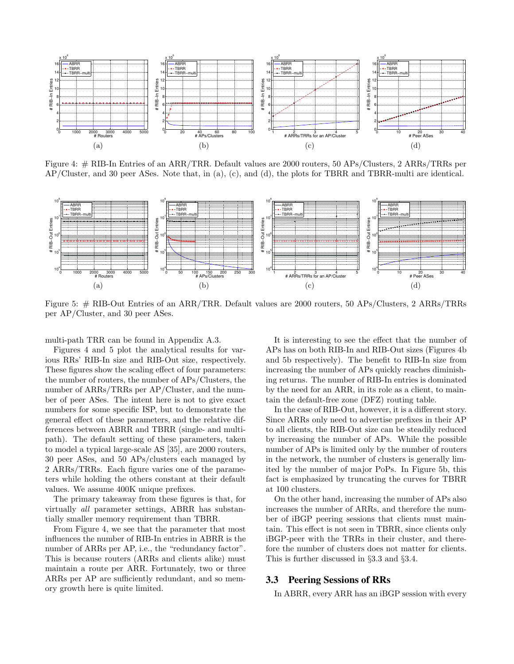

Figure 4: # RIB-In Entries of an ARR/TRR. Default values are 2000 routers, 50 APs/Clusters, 2 ARRs/TRRs per AP/Cluster, and 30 peer ASes. Note that, in (a), (c), and (d), the plots for TBRR and TBRR-multi are identical.



Figure 5: # RIB-Out Entries of an ARR/TRR. Default values are 2000 routers, 50 APs/Clusters, 2 ARRs/TRRs per AP/Cluster, and 30 peer ASes.

multi-path TRR can be found in Appendix A.3.

Figures 4 and 5 plot the analytical results for various RRs' RIB-In size and RIB-Out size, respectively. These figures show the scaling effect of four parameters: the number of routers, the number of APs/Clusters, the number of ARRs/TRRs per AP/Cluster, and the number of peer ASes. The intent here is not to give exact numbers for some specific ISP, but to demonstrate the general effect of these parameters, and the relative differences between ABRR and TBRR (single- and multipath). The default setting of these parameters, taken to model a typical large-scale AS [35], are 2000 routers, 30 peer ASes, and 50 APs/clusters each managed by 2 ARRs/TRRs. Each figure varies one of the parameters while holding the others constant at their default values. We assume 400K unique prefixes.

The primary takeaway from these figures is that, for virtually all parameter settings, ABRR has substantially smaller memory requirement than TBRR.

From Figure 4, we see that the parameter that most influences the number of RIB-In entries in ABRR is the number of ARRs per AP, i.e., the "redundancy factor". This is because routers (ARRs and clients alike) must maintain a route per ARR. Fortunately, two or three ARRs per AP are sufficiently redundant, and so memory growth here is quite limited.

It is interesting to see the effect that the number of APs has on both RIB-In and RIB-Out sizes (Figures 4b and 5b respectively). The benefit to RIB-In size from increasing the number of APs quickly reaches diminishing returns. The number of RIB-In entries is dominated by the need for an ARR, in its role as a client, to maintain the default-free zone (DFZ) routing table.

In the case of RIB-Out, however, it is a different story. Since ARRs only need to advertise prefixes in their AP to all clients, the RIB-Out size can be steadily reduced by increasing the number of APs. While the possible number of APs is limited only by the number of routers in the network, the number of clusters is generally limited by the number of major PoPs. In Figure 5b, this fact is emphasized by truncating the curves for TBRR at 100 clusters.

On the other hand, increasing the number of APs also increases the number of ARRs, and therefore the number of iBGP peering sessions that clients must maintain. This effect is not seen in TBRR, since clients only iBGP-peer with the TRRs in their cluster, and therefore the number of clusters does not matter for clients. This is further discussed in §3.3 and §3.4.

## **3.3 Peering Sessions of RRs**

In ABRR, every ARR has an iBGP session with every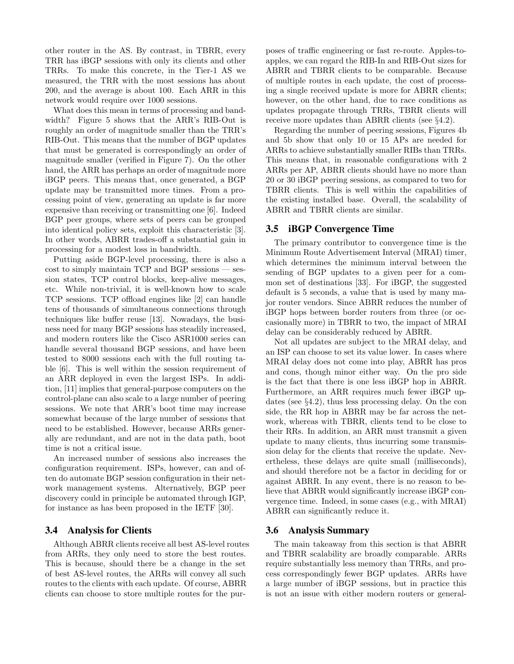other router in the AS. By contrast, in TBRR, every TRR has iBGP sessions with only its clients and other TRRs. To make this concrete, in the Tier-1 AS we measured, the TRR with the most sessions has about 200, and the average is about 100. Each ARR in this network would require over 1000 sessions.

What does this mean in terms of processing and bandwidth? Figure 5 shows that the ARR's RIB-Out is roughly an order of magnitude smaller than the TRR's RIB-Out. This means that the number of BGP updates that must be generated is correspondingly an order of magnitude smaller (verified in Figure 7). On the other hand, the ARR has perhaps an order of magnitude more iBGP peers. This means that, once generated, a BGP update may be transmitted more times. From a processing point of view, generating an update is far more expensive than receiving or transmitting one [6]. Indeed BGP peer groups, where sets of peers can be grouped into identical policy sets, exploit this characteristic [3]. In other words, ABRR trades-off a substantial gain in processing for a modest loss in bandwidth.

Putting aside BGP-level processing, there is also a cost to simply maintain TCP and BGP sessions — session states, TCP control blocks, keep-alive messages, etc. While non-trivial, it is well-known how to scale TCP sessions. TCP offload engines like [2] can handle tens of thousands of simultaneous connections through techniques like buffer reuse [13]. Nowadays, the business need for many BGP sessions has steadily increased, and modern routers like the Cisco ASR1000 series can handle several thousand BGP sessions, and have been tested to 8000 sessions each with the full routing table [6]. This is well within the session requirement of an ARR deployed in even the largest ISPs. In addition, [11] implies that general-purpose computers on the control-plane can also scale to a large number of peering sessions. We note that ARR's boot time may increase somewhat because of the large number of sessions that need to be established. However, because ARRs generally are redundant, and are not in the data path, boot time is not a critical issue.

An increased number of sessions also increases the configuration requirement. ISPs, however, can and often do automate BGP session configuration in their network management systems. Alternatively, BGP peer discovery could in principle be automated through IGP, for instance as has been proposed in the IETF [30].

## **3.4 Analysis for Clients**

Although ABRR clients receive all best AS-level routes from ARRs, they only need to store the best routes. This is because, should there be a change in the set of best AS-level routes, the ARRs will convey all such routes to the clients with each update. Of course, ABRR clients can choose to store multiple routes for the purposes of traffic engineering or fast re-route. Apples-toapples, we can regard the RIB-In and RIB-Out sizes for ABRR and TBRR clients to be comparable. Because of multiple routes in each update, the cost of processing a single received update is more for ABRR clients; however, on the other hand, due to race conditions as updates propagate through TRRs, TBRR clients will receive more updates than ABRR clients (see §4.2).

Regarding the number of peering sessions, Figures 4b and 5b show that only 10 or 15 APs are needed for ARRs to achieve substantially smaller RIBs than TRRs. This means that, in reasonable configurations with 2 ARRs per AP, ABRR clients should have no more than 20 or 30 iBGP peering sessions, as compared to two for TBRR clients. This is well within the capabilities of the existing installed base. Overall, the scalability of ABRR and TBRR clients are similar.

#### **3.5 iBGP Convergence Time**

The primary contributor to convergence time is the Minimum Route Advertisement Interval (MRAI) timer, which determines the minimum interval between the sending of BGP updates to a given peer for a common set of destinations [33]. For iBGP, the suggested default is 5 seconds, a value that is used by many major router vendors. Since ABRR reduces the number of iBGP hops between border routers from three (or occasionally more) in TBRR to two, the impact of MRAI delay can be considerably reduced by ABRR.

Not all updates are subject to the MRAI delay, and an ISP can choose to set its value lower. In cases where MRAI delay does not come into play, ABRR has pros and cons, though minor either way. On the pro side is the fact that there is one less iBGP hop in ABRR. Furthermore, an ARR requires much fewer iBGP updates (see §4.2), thus less processing delay. On the con side, the RR hop in ABRR may be far across the network, whereas with TBRR, clients tend to be close to their RRs. In addition, an ARR must transmit a given update to many clients, thus incurring some transmission delay for the clients that receive the update. Nevertheless, these delays are quite small (milliseconds), and should therefore not be a factor in deciding for or against ABRR. In any event, there is no reason to believe that ABRR would significantly increase iBGP convergence time. Indeed, in some cases (e.g., with MRAI) ABRR can significantly reduce it.

#### **3.6 Analysis Summary**

The main takeaway from this section is that ABRR and TBRR scalability are broadly comparable. ARRs require substantially less memory than TRRs, and process correspondingly fewer BGP updates. ARRs have a large number of iBGP sessions, but in practice this is not an issue with either modern routers or general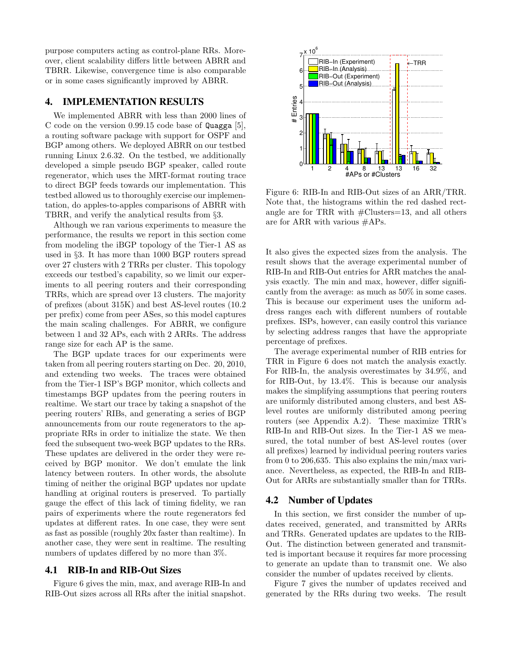purpose computers acting as control-plane RRs. Moreover, client scalability differs little between ABRR and TBRR. Likewise, convergence time is also comparable or in some cases significantly improved by ABRR.

## **4. IMPLEMENTATION RESULTS**

We implemented ABRR with less than 2000 lines of C code on the version 0.99.15 code base of Quagga  $[5]$ , a routing software package with support for OSPF and BGP among others. We deployed ABRR on our testbed running Linux 2.6.32. On the testbed, we additionally developed a simple pseudo BGP speaker, called route regenerator, which uses the MRT-format routing trace to direct BGP feeds towards our implementation. This testbed allowed us to thoroughly exercise our implementation, do apples-to-apples comparisons of ABRR with TBRR, and verify the analytical results from §3.

Although we ran various experiments to measure the performance, the results we report in this section come from modeling the iBGP topology of the Tier-1 AS as used in §3. It has more than 1000 BGP routers spread over 27 clusters with 2 TRRs per cluster. This topology exceeds our testbed's capability, so we limit our experiments to all peering routers and their corresponding TRRs, which are spread over 13 clusters. The majority of prefixes (about 315K) and best AS-level routes (10.2 per prefix) come from peer ASes, so this model captures the main scaling challenges. For ABRR, we configure between 1 and 32 APs, each with 2 ARRs. The address range size for each AP is the same.

The BGP update traces for our experiments were taken from all peering routers starting on Dec. 20, 2010, and extending two weeks. The traces were obtained from the Tier-1 ISP's BGP monitor, which collects and timestamps BGP updates from the peering routers in realtime. We start our trace by taking a snapshot of the peering routers' RIBs, and generating a series of BGP announcements from our route regenerators to the appropriate RRs in order to initialize the state. We then feed the subsequent two-week BGP updates to the RRs. These updates are delivered in the order they were received by BGP monitor. We don't emulate the link latency between routers. In other words, the absolute timing of neither the original BGP updates nor update handling at original routers is preserved. To partially gauge the effect of this lack of timing fidelity, we ran pairs of experiments where the route regenerators fed updates at different rates. In one case, they were sent as fast as possible (roughly 20x faster than realtime). In another case, they were sent in realtime. The resulting numbers of updates differed by no more than 3%.

#### **4.1 RIB-In and RIB-Out Sizes**

Figure 6 gives the min, max, and average RIB-In and RIB-Out sizes across all RRs after the initial snapshot.



Figure 6: RIB-In and RIB-Out sizes of an ARR/TRR. Note that, the histograms within the red dashed rectangle are for TRR with  $\#Clusters=13$ , and all others are for ARR with various #APs.

It also gives the expected sizes from the analysis. The result shows that the average experimental number of RIB-In and RIB-Out entries for ARR matches the analysis exactly. The min and max, however, differ significantly from the average: as much as 50% in some cases. This is because our experiment uses the uniform address ranges each with different numbers of routable prefixes. ISPs, however, can easily control this variance by selecting address ranges that have the appropriate percentage of prefixes.

The average experimental number of RIB entries for TRR in Figure 6 does not match the analysis exactly. For RIB-In, the analysis overestimates by 34.9%, and for RIB-Out, by 13.4%. This is because our analysis makes the simplifying assumptions that peering routers are uniformly distributed among clusters, and best ASlevel routes are uniformly distributed among peering routers (see Appendix A.2). These maximize TRR's RIB-In and RIB-Out sizes. In the Tier-1 AS we measured, the total number of best AS-level routes (over all prefixes) learned by individual peering routers varies from 0 to 206,635. This also explains the min/max variance. Nevertheless, as expected, the RIB-In and RIB-Out for ARRs are substantially smaller than for TRRs.

#### **4.2 Number of Updates**

In this section, we first consider the number of updates received, generated, and transmitted by ARRs and TRRs. Generated updates are updates to the RIB-Out. The distinction between generated and transmitted is important because it requires far more processing to generate an update than to transmit one. We also consider the number of updates received by clients.

Figure 7 gives the number of updates received and generated by the RRs during two weeks. The result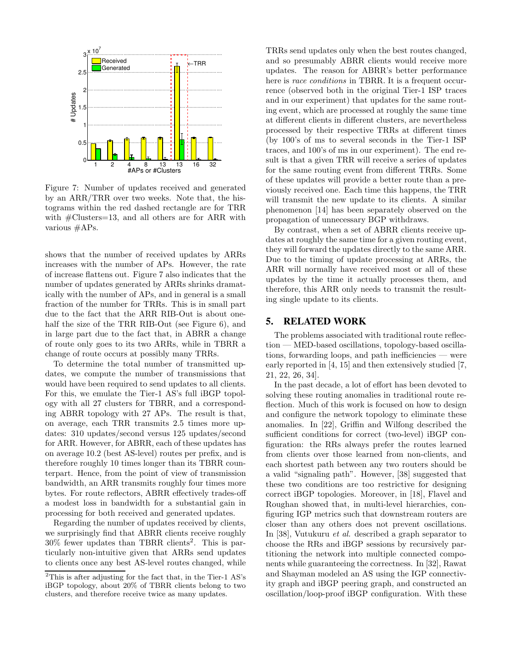

Figure 7: Number of updates received and generated by an ARR/TRR over two weeks. Note that, the histograms within the red dashed rectangle are for TRR with #Clusters=13, and all others are for ARR with various #APs.

shows that the number of received updates by ARRs increases with the number of APs. However, the rate of increase flattens out. Figure 7 also indicates that the number of updates generated by ARRs shrinks dramatically with the number of APs, and in general is a small fraction of the number for TRRs. This is in small part due to the fact that the ARR RIB-Out is about onehalf the size of the TRR RIB-Out (see Figure 6), and in large part due to the fact that, in ABRR a change of route only goes to its two ARRs, while in TBRR a change of route occurs at possibly many TRRs.

To determine the total number of transmitted updates, we compute the number of transmissions that would have been required to send updates to all clients. For this, we emulate the Tier-1 AS's full iBGP topology with all 27 clusters for TBRR, and a corresponding ABRR topology with 27 APs. The result is that, on average, each TRR transmits 2.5 times more updates: 310 updates/second versus 125 updates/second for ARR. However, for ABRR, each of these updates has on average 10.2 (best AS-level) routes per prefix, and is therefore roughly 10 times longer than its TBRR counterpart. Hence, from the point of view of transmission bandwidth, an ARR transmits roughly four times more bytes. For route reflectors, ABRR effectively trades-off a modest loss in bandwidth for a substantial gain in processing for both received and generated updates.

Regarding the number of updates received by clients, we surprisingly find that ABRR clients receive roughly  $30\%$  fewer updates than TBRR clients<sup>2</sup>. This is particularly non-intuitive given that ARRs send updates to clients once any best AS-level routes changed, while

TRRs send updates only when the best routes changed, and so presumably ABRR clients would receive more updates. The reason for ABRR's better performance here is *race conditions* in TBRR. It is a frequent occurrence (observed both in the original Tier-1 ISP traces and in our experiment) that updates for the same routing event, which are processed at roughly the same time at different clients in different clusters, are nevertheless processed by their respective TRRs at different times (by 100's of ms to several seconds in the Tier-1 ISP traces, and 100's of ms in our experiment). The end result is that a given TRR will receive a series of updates for the same routing event from different TRRs. Some of these updates will provide a better route than a previously received one. Each time this happens, the TRR will transmit the new update to its clients. A similar phenomenon [14] has been separately observed on the propagation of unnecessary BGP withdraws.

By contrast, when a set of ABRR clients receive updates at roughly the same time for a given routing event, they will forward the updates directly to the same ARR. Due to the timing of update processing at ARRs, the ARR will normally have received most or all of these updates by the time it actually processes them, and therefore, this ARR only needs to transmit the resulting single update to its clients.

#### **5. RELATED WORK**

The problems associated with traditional route reflection — MED-based oscillations, topology-based oscillations, forwarding loops, and path inefficiencies — were early reported in [4, 15] and then extensively studied [7, 21, 22, 26, 34].

In the past decade, a lot of effort has been devoted to solving these routing anomalies in traditional route reflection. Much of this work is focused on how to design and configure the network topology to eliminate these anomalies. In [22], Griffin and Wilfong described the sufficient conditions for correct (two-level) iBGP configuration: the RRs always prefer the routes learned from clients over those learned from non-clients, and each shortest path between any two routers should be a valid "signaling path". However, [38] suggested that these two conditions are too restrictive for designing correct iBGP topologies. Moreover, in [18], Flavel and Roughan showed that, in multi-level hierarchies, configuring IGP metrics such that downstream routers are closer than any others does not prevent oscillations. In [38], Vutukuru et al. described a graph separator to choose the RRs and iBGP sessions by recursively partitioning the network into multiple connected components while guaranteeing the correctness. In [32], Rawat and Shayman modeled an AS using the IGP connectivity graph and iBGP peering graph, and constructed an oscillation/loop-proof iBGP configuration. With these

 $2$ This is after adjusting for the fact that, in the Tier-1 AS's iBGP topology, about 20% of TBRR clients belong to two clusters, and therefore receive twice as many updates.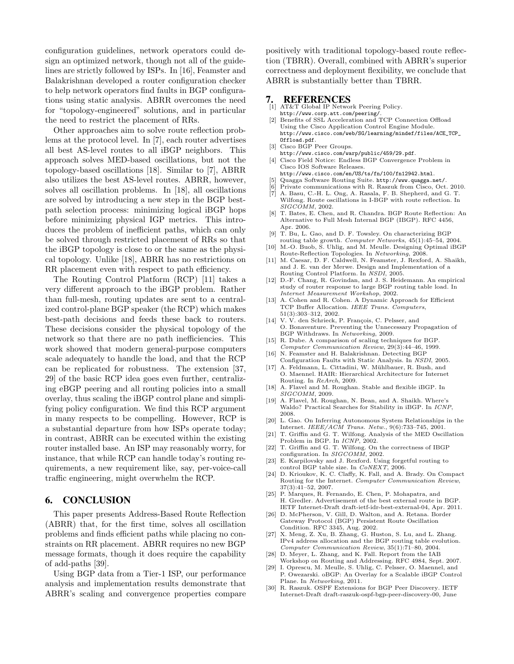configuration guidelines, network operators could design an optimized network, though not all of the guidelines are strictly followed by ISPs. In [16], Feamster and Balakrishnan developed a router configuration checker to help network operators find faults in BGP configurations using static analysis. ABRR overcomes the need for "topology-engineered" solutions, and in particular the need to restrict the placement of RRs.

Other approaches aim to solve route reflection problems at the protocol level. In [7], each router advertises all best AS-level routes to all iBGP neighbors. This approach solves MED-based oscillations, but not the topology-based oscillations [18]. Similar to [7], ABRR also utilizes the best AS-level routes. ABRR, however, solves all oscillation problems. In [18], all oscillations are solved by introducing a new step in the BGP bestpath selection process: minimizing logical iBGP hops before minimizing physical IGP metrics. This introduces the problem of inefficient paths, which can only be solved through restricted placement of RRs so that the iBGP topology is close to or the same as the physical topology. Unlike [18], ABRR has no restrictions on RR placement even with respect to path efficiency.

The Routing Control Platform (RCP) [11] takes a very different approach to the iBGP problem. Rather than full-mesh, routing updates are sent to a centralized control-plane BGP speaker (the RCP) which makes best-path decisions and feeds these back to routers. These decisions consider the physical topology of the network so that there are no path inefficiencies. This work showed that modern general-purpose computers scale adequately to handle the load, and that the RCP can be replicated for robustness. The extension [37, 29] of the basic RCP idea goes even further, centralizing eBGP peering and all routing policies into a small overlay, thus scaling the iBGP control plane and simplifying policy configuration. We find this RCP argument in many respects to be compelling. However, RCP is a substantial departure from how ISPs operate today; in contrast, ABRR can be executed within the existing router installed base. An ISP may reasonably worry, for instance, that while RCP can handle today's routing requirements, a new requirement like, say, per-voice-call traffic engineering, might overwhelm the RCP.

#### **6. CONCLUSION**

This paper presents Address-Based Route Reflection (ABRR) that, for the first time, solves all oscillation problems and finds efficient paths while placing no constraints on RR placement. ABRR requires no new BGP message formats, though it does require the capability of add-paths [39].

Using BGP data from a Tier-1 ISP, our performance analysis and implementation results demonstrate that ABRR's scaling and convergence properties compare positively with traditional topology-based route reflection (TBRR). Overall, combined with ABRR's superior correctness and deployment flexibility, we conclude that ABRR is substantially better than TBRR.

## **7. REFERENCES**

- AT&T Global IP Network Peering Policy. http://www.corp.att.com/peering/.
- [2] Benefits of SSL Acceleration and TCP Connection Offload Using the Cisco Application Control Engine Module. http://www.cisco.com/web/SG/learning/mindef/files/ACE\_TCP\_ Offload.pdf.
- [3] Cisco BGP Peer Groups.
- http://www.cisco.com/warp/public/459/29.pdf. [4] Cisco Field Notice: Endless BGP Convergence Problem in Cisco IOS Software Releases.
- http://www.cisco.com/en/US/ts/fn/100/fn12942.html.
- 
- [5] Quagga Software Routing Suite. http://www.quagga.net/. Private communications with R. Raszuk from Cisco, Oct. 2010.
- [7] A. Basu, C.-H. L. Ong, A. Rasala, F. B. Shepherd, and G. T. Wilfong. Route oscillations in I-BGP with route reflection. In  $SIGCOMM$ , 2002.
- [8] T. Bates, E. Chen, and R. Chandra. BGP Route Reflection: An Alternative to Full Mesh Internal BGP (IBGP). RFC 4456, Apr. 2006.
- [9] T. Bu, L. Gao, and D. F. Towsley. On characterizing BGP routing table growth. Computer Networks, 45(1):45–54, 2004.
- [10] M.-O. Buob, S. Uhlig, and M. Meulle. Designing Optimal iBGP Route-Reflection Topologies. In Networking, 2008.
- [11] M. Caesar, D. F. Caldwell, N. Feamster, J. Rexford, A. Shaikh, and J. E. van der Merwe. Design and Implementation of a Routing Control Platform. In NSDI, 2005.
- [12] D.-F. Chang, R. Govindan, and J. S. Heidemann. An empirical study of router response to large BGP routing table load. In Internet Measurement Workshop, 2002.
- [13] A. Cohen and R. Cohen. A Dynamic Approach for Efficient TCP Buffer Allocation. IEEE Trans. Computers, 51(3):303–312, 2002.
- [14] V. V. den Schrieck, P. François, C. Pelsser, and O. Bonaventure. Preventing the Unnecessary Propagation of BGP Withdraws. In Networking, 2009.
- [15] R. Dube. A comparison of scaling techniques for BGP. Computer Communication Review, 29(3):44–46, 1999.
- [16] N. Feamster and H. Balakrishnan. Detecting BGP Configuration Faults with Static Analysis. In NSDI, 2005.
- [17] A. Feldmann, L. Cittadini, W. Mühlbauer, R. Bush, and O. Maennel. HAIR: Hierarchical Architecture for Internet Routing. In ReArch, 2009.
- [18] A. Flavel and M. Roughan. Stable and flexible iBGP. In SIGCOMM, 2009.
- [19] A. Flavel, M. Roughan, N. Bean, and A. Shaikh. Where's Waldo? Practical Searches for Stability in iBGP. In ICNP, 2008.
- [20] L. Gao. On Inferring Autonomous System Relationships in the Internet. IEEE/ACM Trans. Netw., 9(6):733–745, 2001.
- [21] T. Griffin and G. T. Wilfong. Analysis of the MED Oscillation Problem in BGP. In ICNP, 2002.
- [22] T. Griffin and G. T. Wilfong. On the correctness of IBGP configuration. In SIGCOMM, 2002.
- [23] E. Karpilovsky and J. Rexford. Using forgetful routing to control BGP table size. In  $CoNEXT$ , 2006.
- [24] D. Krioukov, K. C. Claffy, K. Fall, and A. Brady. On Compact Routing for the Internet. Computer Communication Review, 37(3):41–52, 2007.
- [25] P. Marques, R. Fernando, E. Chen, P. Mohapatra, and H. Gredler. Advertisement of the best external route in BGP. IETF Internet-Draft draft-ietf-idr-best-external-04, Apr. 2011.
- [26] D. McPherson, V. Gill, D. Walton, and A. Retana. Border Gateway Protocol (BGP) Persistent Route Oscillation Condition. RFC 3345, Aug. 2002.
- [27] X. Meng, Z. Xu, B. Zhang, G. Huston, S. Lu, and L. Zhang. IPv4 address allocation and the BGP routing table evolution. Computer Communication Review, 35(1):71–80, 2004.
- [28] D. Meyer, L. Zhang, and K. Fall. Report from the IAB Workshop on Routing and Addressing. RFC 4984, Sept. 2007.
- [29] I. Oprescu, M. Meulle, S. Uhlig, C. Pelsser, O. Maennel, and P. Owezarski. oBGP: An Overlay for a Scalable iBGP Control Plane. In Networking, 2011.
- [30] R. Raszuk. OSPF Extensions for BGP Peer Discovery. IETF Internet-Draft draft-raszuk-ospf-bgp-peer-discovery-00, June